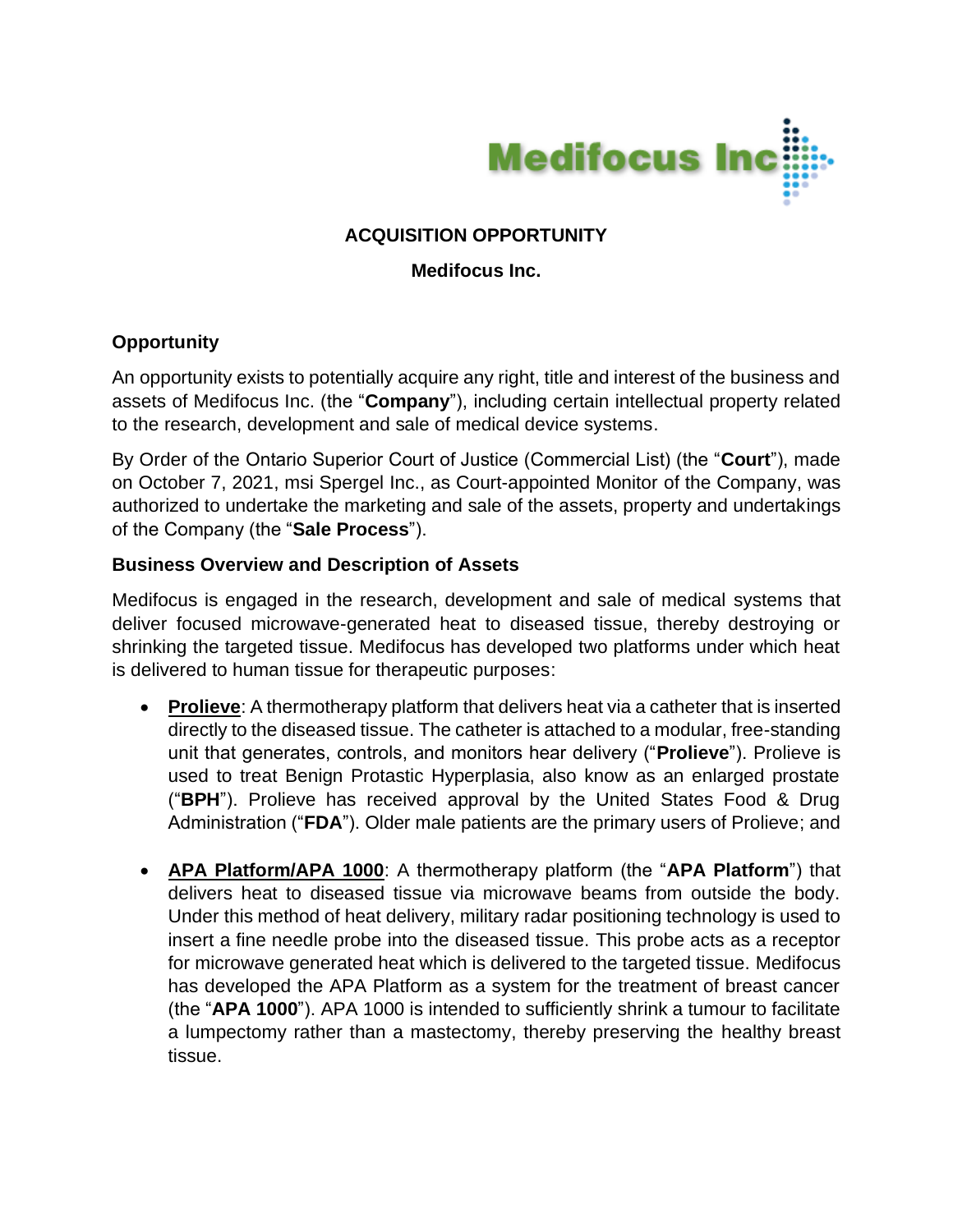

# **ACQUISITION OPPORTUNITY**

## **Medifocus Inc.**

## **Opportunity**

An opportunity exists to potentially acquire any right, title and interest of the business and assets of Medifocus Inc. (the "**Company**"), including certain intellectual property related to the research, development and sale of medical device systems.

By Order of the Ontario Superior Court of Justice (Commercial List) (the "**Court**"), made on October 7, 2021, msi Spergel Inc., as Court-appointed Monitor of the Company, was authorized to undertake the marketing and sale of the assets, property and undertakings of the Company (the "**Sale Process**").

#### **Business Overview and Description of Assets**

Medifocus is engaged in the research, development and sale of medical systems that deliver focused microwave-generated heat to diseased tissue, thereby destroying or shrinking the targeted tissue. Medifocus has developed two platforms under which heat is delivered to human tissue for therapeutic purposes:

- **Prolieve**: A thermotherapy platform that delivers heat via a catheter that is inserted directly to the diseased tissue. The catheter is attached to a modular, free-standing unit that generates, controls, and monitors hear delivery ("**Prolieve**"). Prolieve is used to treat Benign Protastic Hyperplasia, also know as an enlarged prostate ("**BPH**"). Prolieve has received approval by the United States Food & Drug Administration ("**FDA**"). Older male patients are the primary users of Prolieve; and
- **APA Platform/APA 1000**: A thermotherapy platform (the "**APA Platform**") that delivers heat to diseased tissue via microwave beams from outside the body. Under this method of heat delivery, military radar positioning technology is used to insert a fine needle probe into the diseased tissue. This probe acts as a receptor for microwave generated heat which is delivered to the targeted tissue. Medifocus has developed the APA Platform as a system for the treatment of breast cancer (the "**APA 1000**"). APA 1000 is intended to sufficiently shrink a tumour to facilitate a lumpectomy rather than a mastectomy, thereby preserving the healthy breast tissue.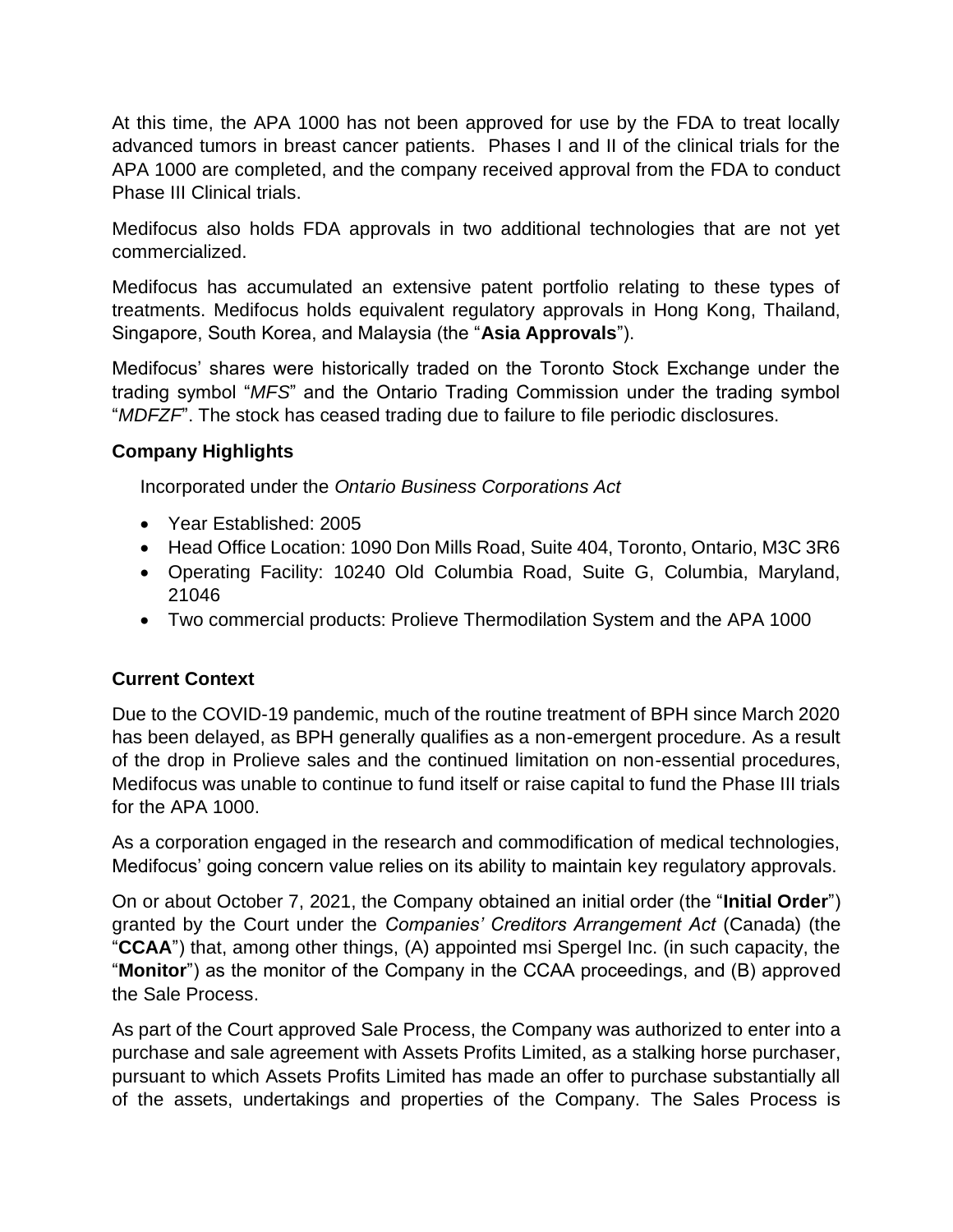At this time, the APA 1000 has not been approved for use by the FDA to treat locally advanced tumors in breast cancer patients. Phases I and II of the clinical trials for the APA 1000 are completed, and the company received approval from the FDA to conduct Phase III Clinical trials.

Medifocus also holds FDA approvals in two additional technologies that are not yet commercialized.

Medifocus has accumulated an extensive patent portfolio relating to these types of treatments. Medifocus holds equivalent regulatory approvals in Hong Kong, Thailand, Singapore, South Korea, and Malaysia (the "**Asia Approvals**").

Medifocus' shares were historically traded on the Toronto Stock Exchange under the trading symbol "*MFS*" and the Ontario Trading Commission under the trading symbol "*MDFZF*". The stock has ceased trading due to failure to file periodic disclosures.

# **Company Highlights**

Incorporated under the *Ontario Business Corporations Act*

- Year Established: 2005
- Head Office Location: 1090 Don Mills Road, Suite 404, Toronto, Ontario, M3C 3R6
- Operating Facility: 10240 Old Columbia Road, Suite G, Columbia, Maryland, 21046
- Two commercial products: Prolieve Thermodilation System and the APA 1000

# **Current Context**

Due to the COVID-19 pandemic, much of the routine treatment of BPH since March 2020 has been delayed, as BPH generally qualifies as a non-emergent procedure. As a result of the drop in Prolieve sales and the continued limitation on non-essential procedures, Medifocus was unable to continue to fund itself or raise capital to fund the Phase III trials for the APA 1000.

As a corporation engaged in the research and commodification of medical technologies, Medifocus' going concern value relies on its ability to maintain key regulatory approvals.

On or about October 7, 2021, the Company obtained an initial order (the "**Initial Order**") granted by the Court under the *Companies' Creditors Arrangement Act* (Canada) (the "**CCAA**") that, among other things, (A) appointed msi Spergel Inc. (in such capacity, the "**Monitor**") as the monitor of the Company in the CCAA proceedings, and (B) approved the Sale Process.

As part of the Court approved Sale Process, the Company was authorized to enter into a purchase and sale agreement with Assets Profits Limited, as a stalking horse purchaser, pursuant to which Assets Profits Limited has made an offer to purchase substantially all of the assets, undertakings and properties of the Company. The Sales Process is